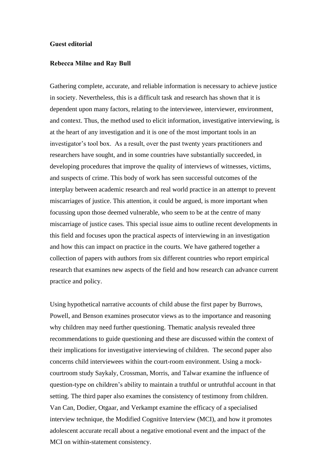## **Guest editorial**

## **Rebecca Milne and Ray Bull**

Gathering complete, accurate, and reliable information is necessary to achieve justice in society. Nevertheless, this is a difficult task and research has shown that it is dependent upon many factors, relating to the interviewee, interviewer, environment, and context. Thus, the method used to elicit information, investigative interviewing, is at the heart of any investigation and it is one of the most important tools in an investigator's tool box. As a result, over the past twenty years practitioners and researchers have sought, and in some countries have substantially succeeded, in developing procedures that improve the quality of interviews of witnesses, victims, and suspects of crime. This body of work has seen successful outcomes of the interplay between academic research and real world practice in an attempt to prevent miscarriages of justice. This attention, it could be argued, is more important when focussing upon those deemed vulnerable, who seem to be at the centre of many miscarriage of justice cases. This special issue aims to outline recent developments in this field and focuses upon the practical aspects of interviewing in an investigation and how this can impact on practice in the courts. We have gathered together a collection of papers with authors from six different countries who report empirical research that examines new aspects of the field and how research can advance current practice and policy.

Using hypothetical narrative accounts of child abuse the first paper by Burrows, Powell, and Benson examines prosecutor views as to the importance and reasoning why children may need further questioning. Thematic analysis revealed three recommendations to guide questioning and these are discussed within the context of their implications for investigative interviewing of children. The second paper also concerns child interviewees within the court-room environment. Using a mockcourtroom study Saykaly, Crossman, Morris, and Talwar examine the influence of question-type on children's ability to maintain a truthful or untruthful account in that setting. The third paper also examines the consistency of testimony from children. Van Can, Dodier, Otgaar, and Verkampt examine the efficacy of a specialised interview technique, the Modified Cognitive Interview (MCI), and how it promotes adolescent accurate recall about a negative emotional event and the impact of the MCI on within-statement consistency.